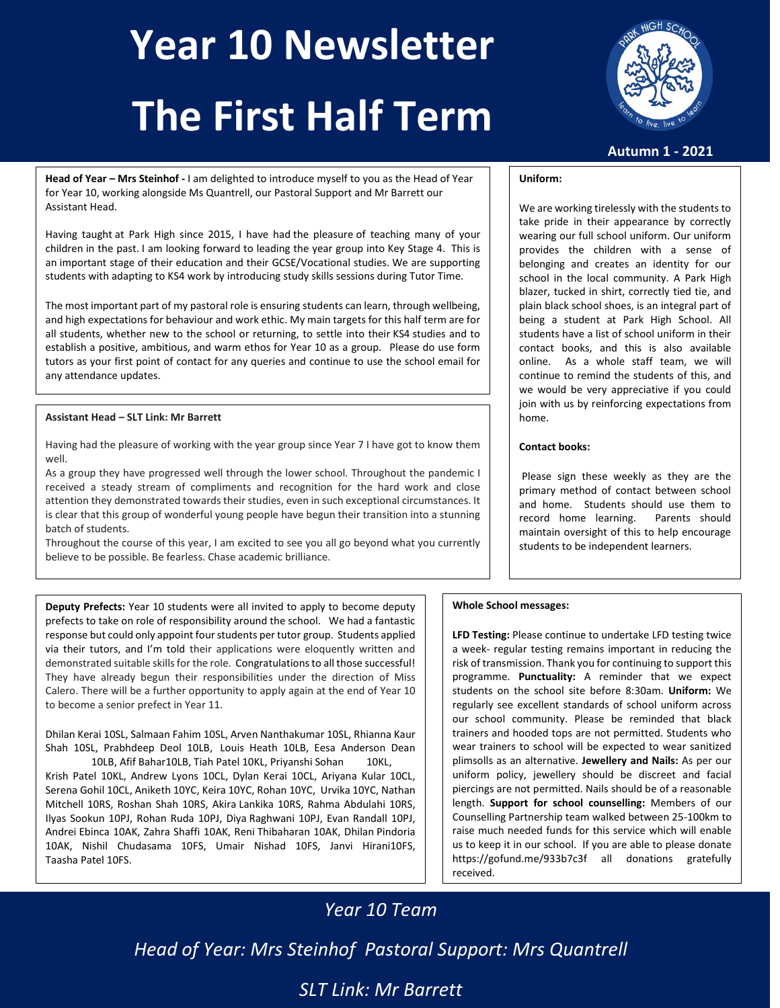# **Year 10 Newsletter The First Half Term**



**Autumn 1 - 2021**

**Head of Year – Mrs Steinhof -** I am delighted to introduce myself to you as the Head of Year for Year 10, working alongside Ms Quantrell, our Pastoral Support and Mr Barrett our Assistant Head.

Having taught at Park High since 2015, I have had the pleasure of teaching many of your children in the past. I am looking forward to leading the year group into Key Stage 4. This is an important stage of their education and their GCSE/Vocational studies. We are supporting students with adapting to KS4 work by introducing study skills sessions during Tutor Time.

The most important part of my pastoral role is ensuring students can learn, through wellbeing, and high expectations for behaviour and work ethic. My main targets for this half term are for all students, whether new to the school or returning, to settle into their KS4 studies and to establish a positive, ambitious, and warm ethos for Year 10 as a group. Please do use form tutors as your first point of contact for any queries and continue to use the school email for any attendance updates.

## **Assistant Head – SLT Link: Mr Barrett**

Having had the pleasure of working with the year group since Year 7 I have got to know them well.

As a group they have progressed well through the lower school. Throughout the pandemic I received a steady stream of compliments and recognition for the hard work and close attention they demonstrated towards their studies, even in such exceptional circumstances. It is clear that this group of wonderful young people have begun their transition into a stunning batch of students.

Throughout the course of this year, I am excited to see you all go beyond what you currently believe to be possible. Be fearless. Chase academic brilliance.

**Deputy Prefects:** Year 10 students were all invited to apply to become deputy prefects to take on role of responsibility around the school. We had a fantastic response but could only appoint four students per tutor group.Students applied via their tutors, and I'm told their applications were eloquently written and demonstrated suitable skills for the role. Congratulations to all those successful! They have already begun their responsibilities under the direction of Miss Calero. There will be a further opportunity to apply again at the end of Year 10 to become a senior prefect in Year 11.

Dhilan Kerai 10SL, Salmaan Fahim 10SL, Arven Nanthakumar 10SL, Rhianna Kaur Shah 10SL, Prabhdeep Deol 10LB, Louis Heath 10LB, Eesa Anderson Dean

10LB, Afif Bahar10LB, Tiah Patel 10KL, Priyanshi Sohan 10KL, Krish Patel 10KL, Andrew Lyons 10CL, Dylan Kerai 10CL, Ariyana Kular 10CL, Serena Gohil 10CL, Aniketh 10YC, Keira 10YC, Rohan 10YC, Urvika 10YC, Nathan Mitchell 10RS, Roshan Shah 10RS, Akira Lankika 10RS, Rahma Abdulahi 10RS, Ilyas Sookun 10PJ, Rohan Ruda 10PJ, Diya Raghwani 10PJ, Evan Randall 10PJ, Andrei Ebinca 10AK, Zahra Shaffi 10AK, Reni Thibaharan 10AK, Dhilan Pindoria 10AK, Nishil Chudasama 10FS, Umair Nishad 10FS, Janvi Hirani10FS, Taasha Patel 10FS.

## **Uniform:**

We are working tirelessly with the students to take pride in their appearance by correctly wearing our full school uniform. Our uniform provides the children with a sense of belonging and creates an identity for our school in the local community. A Park High blazer, tucked in shirt, correctly tied tie, and plain black school shoes, is an integral part of being a student at Park High School. All students have a list of school uniform in their contact books, and this is also available online. As a whole staff team, we will continue to remind the students of this, and we would be very appreciative if you could join with us by reinforcing expectations from home.

## **Contact books:**

Please sign these weekly as they are the primary method of contact between school and home. Students should use them to record home learning. Parents should maintain oversight of this to help encourage students to be independent learners.

### **Whole School messages:**

**LFD Testing:** Please continue to undertake LFD testing twice a week- regular testing remains important in reducing the risk of transmission. Thank you for continuing to support this programme. **Punctuality:** A reminder that we expect students on the school site before 8:30am. **Uniform:** We regularly see excellent standards of school uniform across our school community. Please be reminded that black trainers and hooded tops are not permitted. Students who wear trainers to school will be expected to wear sanitized plimsolls as an alternative. **Jewellery and Nails:** As per our uniform policy, jewellery should be discreet and facial piercings are not permitted. Nails should be of a reasonable length. **Support for school counselling:** Members of our Counselling Partnership team walked between 25-100km to raise much needed funds for this service which will enable us to keep it in our school. If you are able to please donate https://gofund.me/933b7c3f all donations gratefully received.

## *Year 10 Team*

*Head of Year: Mrs Steinhof Pastoral Support: Mrs Quantrell*

## *SLT Link: Mr Barrett*